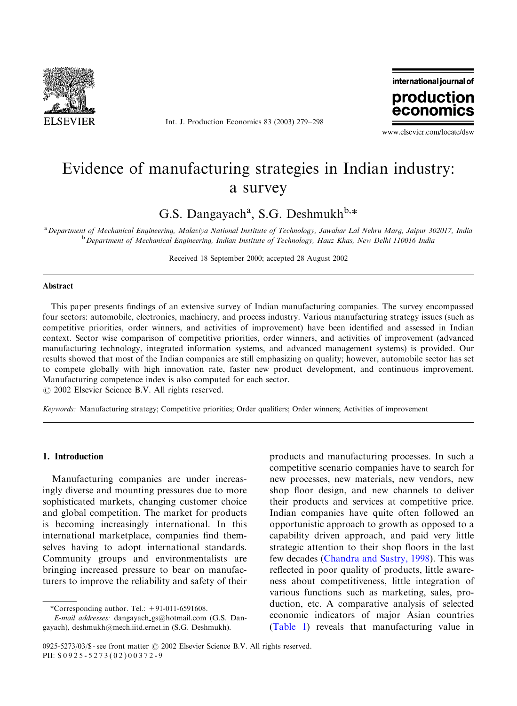

Int. J. Production Economics 83 (2003) 279–298



www.elsevier.com/locate/dsw

## Evidence of manufacturing strategies in Indian industry: a survey

G.S. Dangayach<sup>a</sup>, S.G. Deshmukh<sup>b,\*</sup>

a<br>Department of Mechanical Engineering, Malaviya National Institute of Technology, Jawahar Lal Nehru Marg, Jaipur 302017, India  $b$  Department of Mechanical Engineering, Indian Institute of Technology, Hauz Khas, New Delhi 110016 India

Received 18 September 2000; accepted 28 August 2002

## Abstract

This paper presents findings of an extensive survey of Indian manufacturing companies. The survey encompassed four sectors: automobile, electronics, machinery, and process industry. Various manufacturing strategy issues (such as competitive priorities, order winners, and activities of improvement) have been identified and assessed in Indian context. Sector wise comparison of competitive priorities, order winners, and activities of improvement (advanced manufacturing technology, integrated information systems, and advanced management systems) is provided. Our results showed that most of the Indian companies are still emphasizing on quality; however, automobile sector has set to compete globally with high innovation rate, faster new product development, and continuous improvement. Manufacturing competence index is also computed for each sector.

 $\odot$  2002 Elsevier Science B.V. All rights reserved.

Keywords: Manufacturing strategy; Competitive priorities; Order qualifiers; Order winners; Activities of improvement

## 1. Introduction

Manufacturing companies are under increasingly diverse and mounting pressures due to more sophisticated markets, changing customer choice and global competition. The market for products is becoming increasingly international. In this international marketplace, companies find themselves having to adopt international standards. Community groups and environmentalists are bringing increased pressure to bear on manufacturers to improve the reliability and safety of their

\*Corresponding author. Tel.:  $+91-011-6591608$ .

products and manufacturing processes. In such a competitive scenario companies have to search for new processes, new materials, new vendors, new shop floor design, and new channels to deliver their products and services at competitive price. Indian companies have quite often followed an opportunistic approach to growth as opposed to a capability driven approach, and paid very little strategic attention to their shop floors in the last few decades ([Chandra and Sastry, 1998\)](#page--1-0). This was reflected in poor quality of products, little awareness about competitiveness, little integration of various functions such as marketing, sales, production, etc. A comparative analysis of selected economic indicators of major Asian countries [\(Table 1](#page-1-0)) reveals that manufacturing value in

E-mail addresses: dangayach gs@hotmail.com (G.S. Dangayach), deshmukh@mech.iitd.ernet.in (S.G. Deshmukh).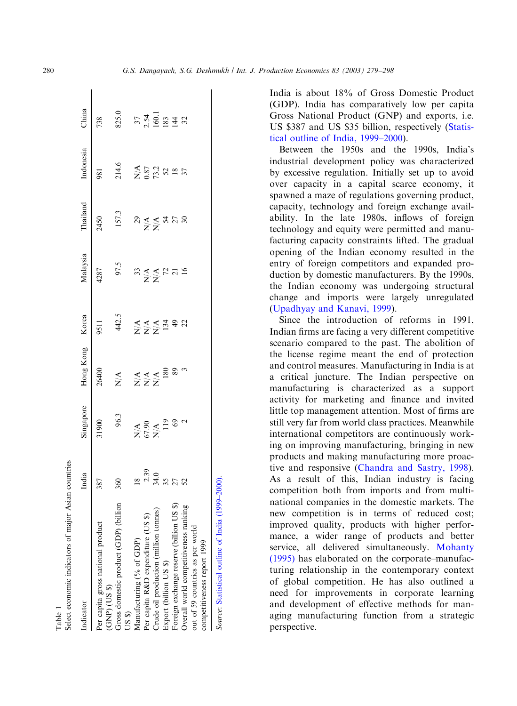<span id="page-1-0"></span>

| Select economic indicators of major Asian countries                               |                                          |                               |                                                                    |                |                    |                   |                            |       |
|-----------------------------------------------------------------------------------|------------------------------------------|-------------------------------|--------------------------------------------------------------------|----------------|--------------------|-------------------|----------------------------|-------|
| Indicator                                                                         | India                                    | Singapore                     | Hong Kong Korea                                                    |                | Malaysia           | Thailand          | Indonesia                  | China |
| Per capita gross national product<br>$(CNP)$ (US $$)$                             | 387                                      | 31900                         | 26400                                                              | 9511           | 4287               | 2450              | 981                        | 738   |
| Gross domestic product (GDP) (billion<br>$($ $8S$                                 | 360                                      | 96.3                          | $\sum\limits_{\mathbf{X}}$                                         | 442.5          | 97.5               | 157.3             | 214.6                      | 825.0 |
| Manufacturing (% of GDP)                                                          |                                          |                               |                                                                    |                |                    |                   |                            |       |
| Per capita R&D expenditure (US \$)                                                | $18$<br>$-33$<br>$-35$<br>$-52$<br>$-52$ | $26.49$<br>$25.49$<br>$25.49$ | $\begin{array}{l}\n 1 & 0 \\ 2 & 1 \\ 3 & 1 \\ 4 & 1\n\end{array}$ | ENER<br>Extrac | $3344727$<br>$X^4$ | $R \leq R \leq R$ | $X^{4}_{87}_{13.2}_{73.2}$ |       |
| Crude oil production (million tonnes)                                             |                                          |                               |                                                                    |                |                    |                   |                            |       |
| Export (billion US \$)                                                            |                                          |                               |                                                                    |                |                    |                   |                            |       |
|                                                                                   |                                          |                               |                                                                    |                |                    |                   |                            |       |
| Foreign exchange reserve (billion US \$)<br>Overall world competitiveness ranking |                                          |                               |                                                                    |                |                    |                   |                            |       |
| out of 59 countries as per world                                                  |                                          |                               |                                                                    |                |                    |                   |                            |       |
| competitiveness report 1999                                                       |                                          |                               |                                                                    |                |                    |                   |                            |       |
| Source: Statistical outline of India (1999–                                       |                                          |                               |                                                                    |                |                    |                   |                            |       |

India is about 18% of Gross Domestic Product (GDP). India has comparatively low per capita Gross National Product (GNP) and exports, i.e. US \$387 and US \$35 billion, respectively [\(Statis](#page--1-0)[tical outline of India, 1999–2000\)](#page--1-0).

Between the 1950s and the 1990s, India's industrial development policy was characterized by excessive regulation. Initially set up to avoid over capacity in a capital scarce economy, it spawned a maze of regulations governing product, capacity, technology and foreign exchange availability. In the late 1980s, inflows of foreign technology and equity were permitted and manufacturing capacity constraints lifted. The gradual opening of the Indian economy resulted in the entry of foreign competitors and expanded production by domestic manufacturers. By the 1990s, the Indian economy was undergoing structural change and imports were largely unregulated [\(Upadhyay and Kanavi, 1999](#page--1-0)).

Since the introduction of reforms in 1991, Indian firms are facing a very different competitive scenario compared to the past. The abolition of the license regime meant the end of protection and control measures. Manufacturing in India is at a critical juncture. The Indian perspective on manufacturing is characterized as a support activity for marketing and finance and invited little top management attention. Most of firms are still very far from world class practices. Meanwhile international competitors are continuously working on improving manufacturing, bringing in new products and making manufacturing more proactive and responsive ([Chandra and Sastry, 1998](#page--1-0)). As a result of this, Indian industry is facing competition both from imports and from multinational companies in the domestic markets. The new competition is in terms of reduced cost; improved quality, products with higher performance, a wider range of products and better service, all delivered simultaneously. [Mohanty](#page--1-0) [\(1995\)](#page--1-0) has elaborated on the corporate–manufacturing relationship in the contemporary context of global competition. He has also outlined a need for improvements in corporate learning and development of effective methods for managing manufacturing function from a strategic perspective.

Table 1